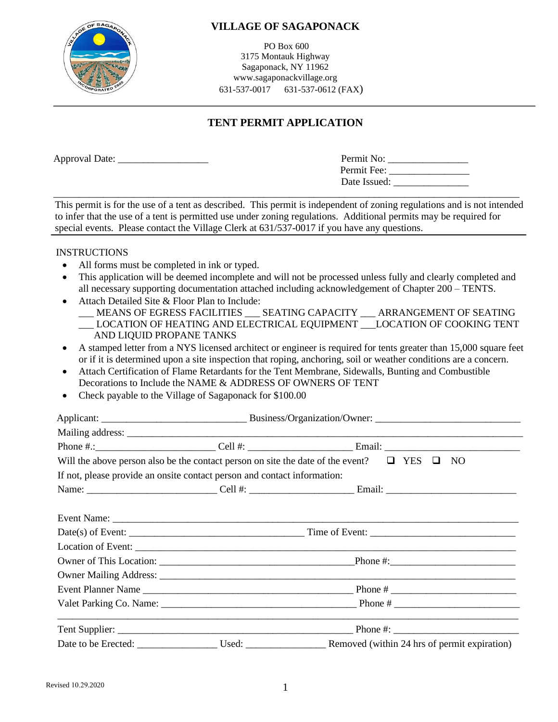

PO Box 600 3175 Montauk Highway Sagaponack, NY 11962 www.sagaponackvillage.org 631-537-0017 631-537-0612 (FAX)

# **TENT PERMIT APPLICATION**

Approval Date:

| Permit No:   |  |
|--------------|--|
| Permit Fee:  |  |
| Date Issued: |  |

 \_\_\_\_\_\_\_\_\_\_\_\_\_\_\_\_\_\_\_\_\_\_\_\_\_\_\_\_\_\_\_\_\_\_\_\_\_\_\_\_\_\_\_\_\_\_\_\_\_\_\_\_\_\_\_\_\_\_\_\_\_\_\_\_\_\_\_\_\_\_\_\_\_\_\_\_\_\_\_\_\_\_\_\_\_\_\_\_\_\_\_\_\_ This permit is for the use of a tent as described. This permit is independent of zoning regulations and is not intended to infer that the use of a tent is permitted use under zoning regulations. Additional permits may be required for special events. Please contact the Village Clerk at 631/537-0017 if you have any questions.

#### **INSTRUCTIONS**

- All forms must be completed in ink or typed.
- This application will be deemed incomplete and will not be processed unless fully and clearly completed and all necessary supporting documentation attached including acknowledgement of Chapter 200 – TENTS.
- Attach Detailed Site & Floor Plan to Include:
	- \_\_\_ MEANS OF EGRESS FACILITIES \_\_\_ SEATING CAPACITY \_\_\_ ARRANGEMENT OF SEATING \_\_\_ LOCATION OF HEATING AND ELECTRICAL EQUIPMENT \_\_\_LOCATION OF COOKING TENT AND LIQUID PROPANE TANKS
- A stamped letter from a NYS licensed architect or engineer is required for tents greater than 15,000 square feet or if it is determined upon a site inspection that roping, anchoring, soil or weather conditions are a concern.
- Attach Certification of Flame Retardants for the Tent Membrane, Sidewalls, Bunting and Combustible Decorations to Include the NAME & ADDRESS OF OWNERS OF TENT
- Check payable to the Village of Sagaponack for \$100.00

| Will the above person also be the contact person on site the date of the event? $\Box$ YES $\Box$ |  | NO                                                                           |  |  |  |
|---------------------------------------------------------------------------------------------------|--|------------------------------------------------------------------------------|--|--|--|
| If not, please provide an onsite contact person and contact information:                          |  |                                                                              |  |  |  |
|                                                                                                   |  |                                                                              |  |  |  |
|                                                                                                   |  |                                                                              |  |  |  |
|                                                                                                   |  |                                                                              |  |  |  |
|                                                                                                   |  |                                                                              |  |  |  |
|                                                                                                   |  |                                                                              |  |  |  |
|                                                                                                   |  |                                                                              |  |  |  |
|                                                                                                   |  |                                                                              |  |  |  |
|                                                                                                   |  |                                                                              |  |  |  |
|                                                                                                   |  |                                                                              |  |  |  |
|                                                                                                   |  |                                                                              |  |  |  |
|                                                                                                   |  |                                                                              |  |  |  |
|                                                                                                   |  | Date to be Erected: Used: Used: Removed (within 24 hrs of permit expiration) |  |  |  |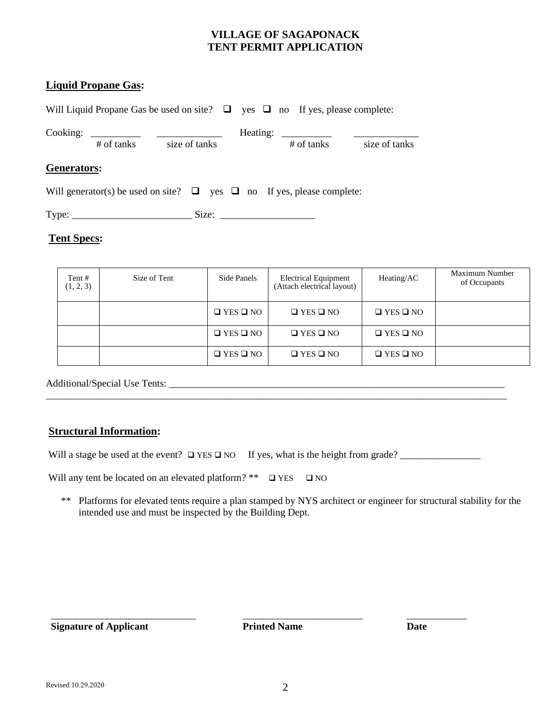#### **VILLAGE OF SAGAPONACK TENT PERMIT APPLICATION**

#### **Liquid Propane Gas:**

Will Liquid Propane Gas be used on site? □ yes □ no If yes, please complete: Cooking: \_\_\_\_\_\_\_\_\_\_ \_\_\_\_\_\_\_\_\_\_\_\_\_ Heating: \_\_\_\_\_\_\_\_\_\_ \_\_\_\_\_\_\_\_\_\_\_\_\_ # of tanks size of tanks # of tanks size of tanks

#### **Generators:**

Will generator(s) be used on site?  $\Box$  yes  $\Box$  no If yes, please complete:

Type: \_\_\_\_\_\_\_\_\_\_\_\_\_\_\_\_\_\_\_\_\_\_\_\_ Size: \_\_\_\_\_\_\_\_\_\_\_\_\_\_\_\_\_\_\_

#### **Tent Specs:**

| Tent #<br>(1, 2, 3) | Size of Tent | Side Panels          | <b>Electrical Equipment</b><br>(Attach electrical layout) | Heating/AC           | Maximum Number<br>of Occupants |
|---------------------|--------------|----------------------|-----------------------------------------------------------|----------------------|--------------------------------|
|                     |              | $\Box$ YES $\Box$ NO | $\Box$ YES $\Box$ NO                                      | $\Box$ YES $\Box$ NO |                                |
|                     |              | $\Box$ YES $\Box$ NO | $\Box$ YES $\Box$ NO                                      | $\Box$ YES $\Box$ NO |                                |
|                     |              | $\Box$ YES $\Box$ NO | $\Box$ YES $\Box$ NO                                      | $\Box$ YES $\Box$ NO |                                |

Additional/Special Use Tents: \_\_\_\_\_\_\_\_\_\_\_\_\_\_\_\_\_\_\_\_\_\_\_\_\_\_\_\_\_\_\_\_\_\_\_\_\_\_\_\_\_\_\_\_\_\_\_\_\_\_\_\_\_\_\_\_\_\_\_\_\_\_\_\_\_\_\_

#### **Structural Information:**

Will a stage be used at the event? ❑ YES ❑ NO If yes, what is the height from grade? \_\_\_\_\_\_\_\_\_\_\_\_\_\_\_\_

\_\_\_\_\_\_\_\_\_\_\_\_\_\_\_\_\_\_\_\_\_\_\_\_\_\_\_\_\_\_\_\_\_\_\_\_\_\_\_\_\_\_\_\_\_\_\_\_\_\_\_\_\_\_\_\_\_\_\_\_\_\_\_\_\_\_\_\_\_\_\_\_\_\_\_\_\_\_\_\_\_\_\_\_\_\_\_\_\_\_\_\_

Will any tent be located on an elevated platform? \*\*  $\Box$  YES  $\Box$  NO

 \*\* Platforms for elevated tents require a plan stamped by NYS architect or engineer for structural stability for the intended use and must be inspected by the Building Dept.

 **Signature of Applicant Printed Name Date**

 $\overline{\phantom{a}}$  , and the set of the set of the set of the set of the set of the set of the set of the set of the set of the set of the set of the set of the set of the set of the set of the set of the set of the set of the s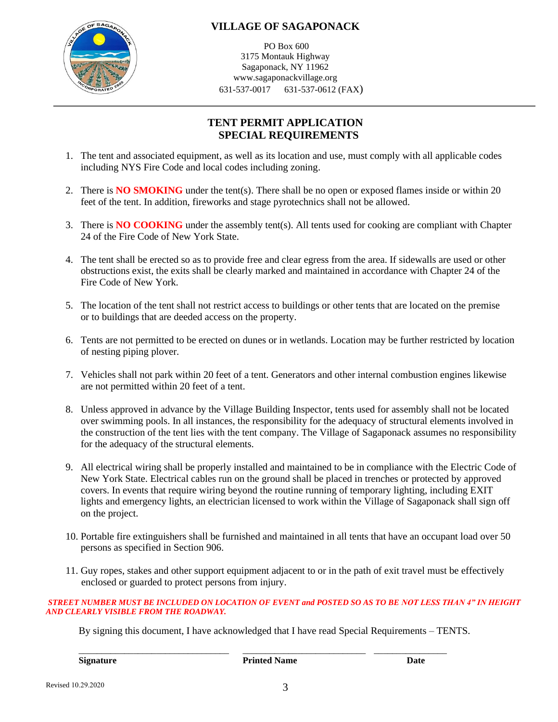

PO Box 600 3175 Montauk Highway Sagaponack, NY 11962 www.sagaponackvillage.org 631-537-0017 631-537-0612 (FAX)

# **TENT PERMIT APPLICATION SPECIAL REQUIREMENTS**

- 1. The tent and associated equipment, as well as its location and use, must comply with all applicable codes including NYS Fire Code and local codes including zoning.
- 2. There is **NO SMOKING** under the tent(s). There shall be no open or exposed flames inside or within 20 feet of the tent. In addition, fireworks and stage pyrotechnics shall not be allowed.
- 3. There is **NO COOKING** under the assembly tent(s). All tents used for cooking are compliant with Chapter 24 of the Fire Code of New York State.
- 4. The tent shall be erected so as to provide free and clear egress from the area. If sidewalls are used or other obstructions exist, the exits shall be clearly marked and maintained in accordance with Chapter 24 of the Fire Code of New York.
- 5. The location of the tent shall not restrict access to buildings or other tents that are located on the premise or to buildings that are deeded access on the property.
- 6. Tents are not permitted to be erected on dunes or in wetlands. Location may be further restricted by location of nesting piping plover.
- 7. Vehicles shall not park within 20 feet of a tent. Generators and other internal combustion engines likewise are not permitted within 20 feet of a tent.
- 8. Unless approved in advance by the Village Building Inspector, tents used for assembly shall not be located over swimming pools. In all instances, the responsibility for the adequacy of structural elements involved in the construction of the tent lies with the tent company. The Village of Sagaponack assumes no responsibility for the adequacy of the structural elements.
- 9. All electrical wiring shall be properly installed and maintained to be in compliance with the Electric Code of New York State. Electrical cables run on the ground shall be placed in trenches or protected by approved covers. In events that require wiring beyond the routine running of temporary lighting, including EXIT lights and emergency lights, an electrician licensed to work within the Village of Sagaponack shall sign off on the project.
- 10. Portable fire extinguishers shall be furnished and maintained in all tents that have an occupant load over 50 persons as specified in Section 906.
- 11. Guy ropes, stakes and other support equipment adjacent to or in the path of exit travel must be effectively enclosed or guarded to protect persons from injury.

#### *STREET NUMBER MUST BE INCLUDED ON LOCATION OF EVENT and POSTED SO AS TO BE NOT LESS THAN 4" IN HEIGHT AND CLEARLY VISIBLE FROM THE ROADWAY.*

By signing this document, I have acknowledged that I have read Special Requirements – TENTS.

**Signature Printed Name Date**

\_\_\_\_\_\_\_\_\_\_\_\_\_\_\_\_\_\_\_\_\_\_\_\_\_\_\_\_\_\_\_\_\_ \_\_\_\_\_\_\_\_\_\_\_\_\_\_\_\_\_\_\_\_\_\_\_\_\_\_\_ \_\_\_\_\_\_\_\_\_\_\_\_\_\_\_\_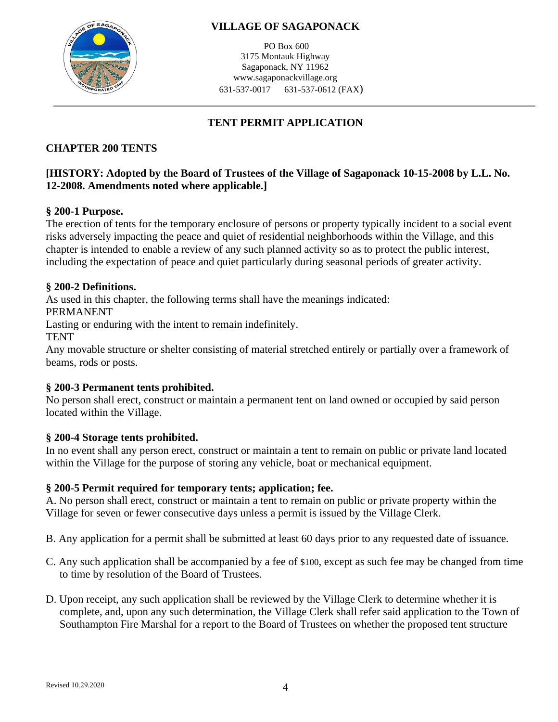

PO Box 600 3175 Montauk Highway Sagaponack, NY 11962 www.sagaponackvillage.org 631-537-0017 631-537-0612 (FAX)

# **TENT PERMIT APPLICATION**

# **CHAPTER 200 [TENTS](http://www.ecode360.com/?custId=SA2797&guid=13014324&j=13)**

### **[HISTORY: Adopted by the Board of Trustees of the Village of Sagaponack 10-15-2008 by L.L. No. 12-2008. Amendments noted where applicable.]**

### **§ 200-1 [Purpose.](http://www.ecode360.com/?custId=SA2797&guid=13014325&j=13)**

The erection of tents for the temporary enclosure of persons or property typically incident to a social event risks adversely impacting the peace and quiet of residential neighborhoods within the Village, and this chapter is intended to enable a review of any such planned activity so as to protect the public interest, including the expectation of peace and quiet particularly during seasonal periods of greater activity.

#### **§ 200-2 [Definitions.](http://www.ecode360.com/?custId=SA2797&guid=13014326&j=13)**

As used in this chapter, the following terms shall have the meanings indicated:

[PERMANENT](http://www.ecode360.com/?custId=SA2797&guid=13014327&j=555)

Lasting or enduring with the intent to remain indefinitely.

**[TENT](http://www.ecode360.com/?custId=SA2797&guid=13014328&j=555)** 

Any movable structure or shelter consisting of material stretched entirely or partially over a framework of beams, rods or posts.

### **§ 200-3 [Permanent tents](http://www.ecode360.com/?custId=SA2797&guid=13014329&j=13) prohibited.**

No person shall erect, construct or maintain a permanent tent on land owned or occupied by said person located within the Village.

#### **§ 200-4 [Storage tents prohibited.](http://www.ecode360.com/?custId=SA2797&guid=13014330&j=13)**

In no event shall any person erect, construct or maintain a tent to remain on public or private land located within the Village for the purpose of storing any vehicle, boat or mechanical equipment.

### **§ 200-5 [Permit required for temporary tents; application; fee.](http://www.ecode360.com/?custId=SA2797&guid=13014331&j=13)**

[A.](http://www.ecode360.com/?custId=SA2797&guid=13014332&j=23) No person shall erect, construct or maintain a tent to remain on public or private property within the Village for seven or fewer consecutive days unless a permit is issued by the Village Clerk.

[B.](http://www.ecode360.com/?custId=SA2797&guid=13014333&j=23) Any application for a permit shall be submitted at least 60 days prior to any requested date of issuance.

- [C.](http://www.ecode360.com/?custId=SA2797&guid=13014334&j=23) Any such application shall be accompanied by a fee of \$100, except as such fee may be changed from time to time by resolution of the Board of Trustees.
- [D.](http://www.ecode360.com/?custId=SA2797&guid=13014335&j=23) Upon receipt, any such application shall be reviewed by the Village Clerk to determine whether it is complete, and, upon any such determination, the Village Clerk shall refer said application to the Town of Southampton Fire Marshal for a report to the Board of Trustees on whether the proposed tent structure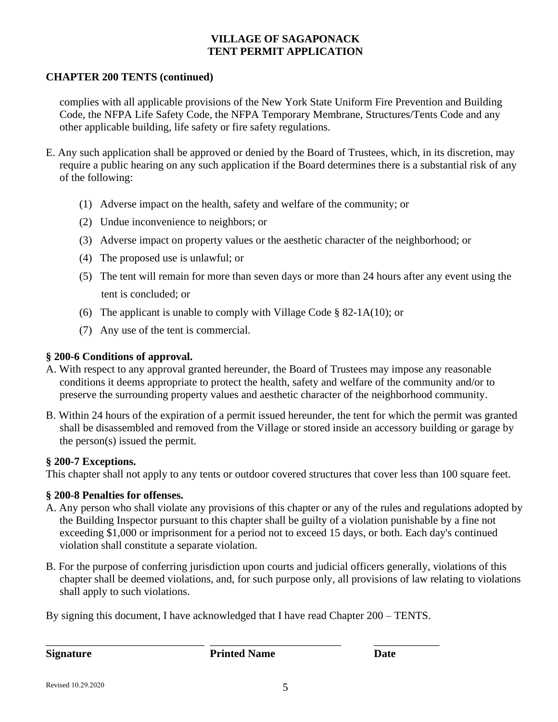#### **VILLAGE OF SAGAPONACK TENT PERMIT APPLICATION**

#### **CHAPTER 200 [TENTS](http://www.ecode360.com/?custId=SA2797&guid=13014324&j=13) (continued)**

 complies with all applicable provisions of the New York State Uniform Fire Prevention and Building Code, the NFPA Life Safety Code, the NFPA Temporary Membrane, Structures/Tents Code and any other applicable building, life safety or fire safety regulations.

- [E.](http://www.ecode360.com/?custId=SA2797&guid=13014336&j=23) Any such application shall be approved or denied by the Board of Trustees, which, in its discretion, may require a public hearing on any such application if the Board determines there is a substantial risk of any of the following:
	- [\(1\)](http://www.ecode360.com/?custId=SA2797&guid=13014337&j=23) Adverse impact on the health, safety and welfare of the community; or
	- [\(2\)](http://www.ecode360.com/?custId=SA2797&guid=13014338&j=23) Undue inconvenience to neighbors; or
	- [\(3\)](http://www.ecode360.com/?custId=SA2797&guid=13014339&j=23) Adverse impact on property values or the aesthetic character of the neighborhood; or
	- [\(4\)](http://www.ecode360.com/?custId=SA2797&guid=13014340&j=23) The proposed use is unlawful; or
	- [\(5\)](http://www.ecode360.com/?custId=SA2797&guid=13014341&j=23) The tent will remain for more than seven days or more than 24 hours after any event using the tent is concluded; or
	- [\(6\)](http://www.ecode360.com/?custId=SA2797&guid=13014342&j=23) The applicant is unable to comply with Village Code  $\S$  [82-1A\(](http://www.ecode360.com/?custId=SA2797#8081054)10); or
	- [\(7\)](http://www.ecode360.com/?custId=SA2797&guid=13014343&j=23) Any use of the tent is commercial.

#### **§ 200-6 [Conditions of approval.](http://www.ecode360.com/?custId=SA2797&guid=13014344&j=13)**

- [A.](http://www.ecode360.com/?custId=SA2797&guid=13014345&j=23) With respect to any approval granted hereunder, the Board of Trustees may impose any reasonable conditions it deems appropriate to protect the health, safety and welfare of the community and/or to preserve the surrounding property values and aesthetic character of the neighborhood community.
- [B.](http://www.ecode360.com/?custId=SA2797&guid=13014346&j=23) Within 24 hours of the expiration of a permit issued hereunder, the tent for which the permit was granted shall be disassembled and removed from the Village or stored inside an accessory building or garage by the person(s) issued the permit.

#### **§ 200-7 [Exceptions.](http://www.ecode360.com/?custId=SA2797&guid=13014347&j=13)**

This chapter shall not apply to any tents or outdoor covered structures that cover less than 100 square feet.

#### **§ 200-8 [Penalties for offenses.](http://www.ecode360.com/?custId=SA2797&guid=13014348&j=13)**

- [A.](http://www.ecode360.com/?custId=SA2797&guid=13014349&j=23) Any person who shall violate any provisions of this chapter or any of the rules and regulations adopted by the Building Inspector pursuant to this chapter shall be guilty of a violation punishable by a fine not exceeding \$1,000 or imprisonment for a period not to exceed 15 days, or both. Each day's continued violation shall constitute a separate violation.
- [B.](http://www.ecode360.com/?custId=SA2797&guid=13014350&j=23) For the purpose of conferring jurisdiction upon courts and judicial officers generally, violations of this chapter shall be deemed violations, and, for such purpose only, all provisions of law relating to violations shall apply to such violations.

By signing this document, I have acknowledged that I have read Chapter 200 – TENTS.

\_\_\_\_\_\_\_\_\_\_\_\_\_\_\_\_\_\_\_\_\_\_\_\_\_\_\_\_\_ \_\_\_\_\_\_\_\_\_\_\_\_\_\_\_\_\_\_\_\_\_\_\_\_ \_\_\_\_\_\_\_\_\_\_\_\_ **Signature Printed Name Date**